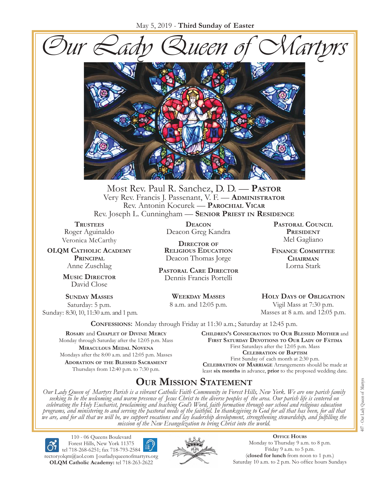



Most Rev. Paul R. Sanchez, D. D. — **Pastor** Very Rev. Francis J. Passenant, V. F. — **Administrator** Rev. Antonin Kocurek — **Parochial Vicar** Rev. Joseph L. Cunningham — **Senior Priest in Residence**

**TRUSTEES** Roger Aguinaldo Veronica McCarthy

**OLQM Catholic Academy Principal** Anne Zuschlag

> **Music Director** David Close

**Sunday Masses** Saturday: 5 p.m. Sunday: 8:30, 10, 11:30 a.m. and 1 p.m.

**Deacon** Deacon Greg Kandra

**Director of Religious Education** Deacon Thomas Jorge

**Pastoral Care Director** Dennis Francis Portelli

> **Weekday Masses** 8 a.m. and 12:05 p.m.

**Pastoral Council** PRESIDENT Mel Gagliano

**Finance Committee Chairman** Lorna Stark

**Holy Days of Obligation** Vigil Mass at 7:30 p.m. Masses at 8 a.m. and 12:05 p.m.

**Confessions:** Monday through Friday at 11:30 a.m.; Saturday at 12:45 p.m.

**Rosary** and **Chaplet of Divine Mercy** Monday through Saturday after the 12:05 p.m. Mass **Miraculous Medal Novena** Mondays after the 8:00 a.m. and 12:05 p.m. Masses **Adoration of the Blessed Sacrament** Thursdays from 12:40 p.m. to 7:30 p.m.

**Children's Consecration to Our Blessed Mother** and **First Saturday Devotions to Our Lady of Fátima** First Saturdays after the 12:05 p.m. Mass **Celebration of Baptism** First Sunday of each month at 2:30 p.m. **Celebration of Marriage** Arrangements should be made at least **six months** in advance, **prior** to the proposed wedding date.

## **Our Mission Statement**

Our Lady Queen of Martyrs Parish is a vibrant Catholic Faith Community in Forest Hills, New York. We are one parish family<br>seeking to be the welcoming and warm presence of Jesus Christ to the diverse peoples of the area. O *celebrating the Holy Eucharist, proclaiming and teaching God's Word, faith formation through our school and religious education*  programs, and ministering to and serving the pastoral needs of the faithful. In thanksgiving to God for all that has been, for all that<br>we are, and for all that we will be, we support vocations and lay leadership developme *mission of the New Evangelization to bring Christ into the world.*

110 - 06 Queens Boulevard Forest Hills, New York 11375 tel 718-268-6251; fax 718-793-2584 [rectoryolqm@aol.com](mailto:rectoryolqm@aol.com) **|**[ourladyqueenofmartyrs.org](www.ourladyqueenofmartyrs.org) **OLQM Catholic Academy:** tel 718-263-2622



**Office Hours** Monday to Thursday 9 a.m. to 8 p.m. Friday 9 a.m. to 5 p.m. (**closed for lunch** from noon to 1 p.m.) Saturday 10 a.m. to 2 p.m. No office hours Sundays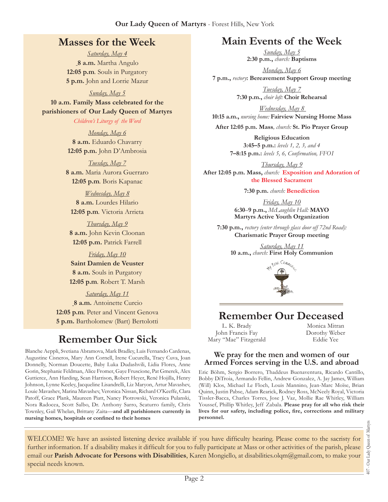## **Masses for the Week**

*Saturday, May 4* **8 a.m.** Martha Angulo **12:05 p.m***.* Souls in Purgatory **5 p.m.** John and Lorrie Mazur

*Sunday, May 5*

**10 a.m. Family Mass celebrated for the parishioners of Our Lady Queen of Martyrs**

*Children's Liturgy of the Word* 

*Monday, May 6* **8 a.m.** Eduardo Chavarry **12:05 p.m.** John D'Ambrosia

*Tuesday, May 7* **8 a.m.** Maria Aurora Guerraro **12:05 p.m***.* Boris Kapanac

*Wednesday, May 8* **8 a.m.** Lourdes Hilario **12:05 p.m***.* Victoria Arrieta

*Thursday, May 9* **8 a.m.** John Kevin Cloonan **12:05 p.m.** Patrick Farrell

*Friday, May 10* **Saint Damien de Veuster 8 a.m.** Souls in Purgatory **12:05 p.m***.* Robert T. Marsh

*Saturday, May 11* **8 a.m.** Antoinette Curcio **12:05 p.m***.* Peter and Vincent Genova **5 p.m.** Bartholomew (Bart) Bertolotti

# **Remember Our Sick**

Blanche Aeppli, Svetiana Abramova, Mark Bradley, Luis Fernando Cardenas, Augustine Cisneros, Mary Ann Cornell, Irene Cucurella, Tracy Cuva, Joan Donnelly, Norman Doucette, Baby Luka Dudashvili, Lidia Flores, Anne Gorin, Stephanie Feldman, Alice Fromer, Gaye Fruscione, Pat Gmerek, Alex Guttierez, Ann Harding, Sean Harrison, Robert Heyer, René Hojilla, Henry Johnson, Lynne Keeley, Jacqueline Lisandrelli, Liz Maryon, Artur Mavashev, Louie Mavashev, Marina Mavashev, Veronica Nissan, Richard O'Keeffe, Clara Patoff, Grace Plank, Maureen Piatt, Nancy Piotrowski, Veronica Pulanski, Nora Radocea, Scott Salbo, Dr. Anthony Sarro, Scaturro family, Chris Townley, Gail Whelan, Brittany Zaita—**and all parishioners currently in nursing homes, hospitals or confined to their homes**

## **Main Events of the Week**

*Sunday, May 5* **2:30 p.m.,** *church:* **Baptisms**

*Monday, May 6* **7 p.m.,** *rectory***: Bereavement Support Group meeting**

> *Tuesday, May 7* **7:30 p.m.,** *choir loft:* **Choir Rehearsal**

*Wednesday, May 8*  **10:15 a.m.,** *nursing home:* **Fairview Nursing Home Mass**

**After 12:05 p.m. Mass***, church:* **St. Pio Prayer Group**

**Religious Education 3:45–5 p.m.:** *levels 1, 2, 3, and 4*  **7–8:15 p.m.:** *levels 5, 6, Confirmation, FFO  I*

*Thursday, May 9* **After 12:05 p.m. Mass,** *church:* **Exposition and Adoration of the Blessed Sacrament**

**7:30 p.m.** *church:* **Benediction** 

*Friday, May 10* **6:30**–**9 p.m.,** *McLaughlin Hall:* **MAYO Martyrs Active Youth Organization**

**7:30 p.m.,** *rectory (enter through glass door off 72nd Road):* **Charismatic Prayer Group meeting**

> *Saturday, May 11* **10 a.m.,** *church:* **First Holy Communion**



## **Remember Our Deceased**

L. K. Brady John Francis Fay Mary "Mae" Fitzgerald Monica Mitran Dorothy Weber Eddie Yee

#### **We pray for the men and women of our Armed Forces serving in the U.S. and abroad**

Eric Böhm, Sergio Borrero, Thaddeus Buenaventura, Ricardo Cantillo, Bobby DiTroia, Armando Fellin, Andrew Gonzalez, A. Jay James, William (Will) Klos, Michael Le Floch, Louis Mannino, Jean-Marc Moïse, Brian Quinn, Justin Pabse, Adam Rearick, Rodney Ross, McNeely Royal, Victoria Tissler-Bacca, Charles Torres, Jose J. Vaz, Mollie Rae Whitley, William Youssef, Phillip Whitley, Jeff Zabala. **Please pray for all who risk their lives for our safety, including police, fire, corrections and military personnel.**

WELCOME! We have an assisted listening device available if you have difficulty hearing. Please come to the sacristy for further information. If a disability makes it difficult for you to fully participate at Mass or other activities of the parish, please email our **Parish Advocate for Persons with Disabilities**, Karen Mongiello, at [disabilities.olqm@gmail.com](mailto:disabilities.olqm@gmail.com), to make your special needs known.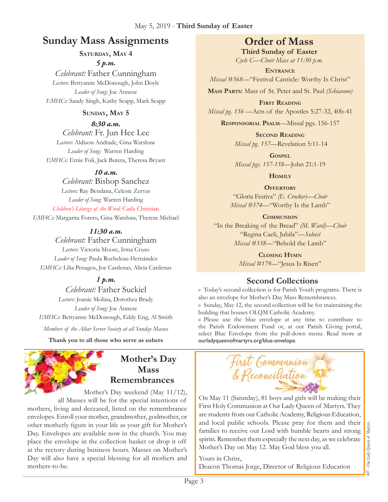## **Sunday Mass Assignments Order of Mass**

SATURDAY, MAY 4

*5 p.m.* 

*Celebrant:* Father Cunningham *Lectors:* Bettyanne McDonough, John Doyle *Leader of Song:* Joe Annese *EMHCs:* Sandy Singh, Kathy Scapp, Mark Scapp

#### **Sunday, May 5**

*8:30 a.m. Celebrant:* Fr. Jun Hee Lee *Lectors:* Aldison Andrade, Gina Warshaw *Leader of Song:* Warren Harding *EMHCs:* Ernie Foli, Jack Butera, Theresa Bryant

#### *10 a.m.*

*Celebrant:* Bishop Sanchez *Lectors:* Ray Bendana, Celeste Zervas *Leader of Song:* Warren Harding *Children's Liturgy of the Word:* Carla Christian

*EMHCs:* Margarita Forero, Gina Warshaw, Therese Michael

*11:30 a.m.* 

*Celebrant:* Father Cunningham *Lectors:* Victoria Moore, Irma Cruso *Leader of Song:* Paula Rocheleau Hernández *EMHCs:* Lilia Penagos, Joe Cardenas, Alicia Cardenas

### *1 p.m.*

*Celebrant:* Father Suckiel *Lectors:* Joanie Molina, Dorothea Brady *Leader of Song:* Joe Annese *EMHCs:* Bettyanne McDonough, Eddy Eng, Al Smith

*Members of the Altar Server Society at all Sunday Masses*

**Thank you to all those who serve as ushers**

# **Mother's Day Mass Remembrances**

Mother's Day weekend (May 11/12),

all Masses will be for the special intentions of mothers, living and deceased, listed on the remembrance envelopes. Enroll your mother, grandmother, godmother, or other motherly figure in your life as your gift for Mother's Day. Envelopes are available now in the church. You may place the envelope in the collection basket or drop it off at the rectory during business hours. Masses on Mother's Day will also have a special blessing for all mothers and mothers-to-be.

**Third Sunday of Easter** *Cycle C—Choir Mass at 11:30 p.m.* 

**Entrance** *Missal #568*—"Festival Canticle: Worthy Is Christ"

**Mass Parts:** Mass of St. Peter and St. Paul *(Schiavone)*

**First Reading** *Missal pg. 156 —*Acts of the Apostles 5:27-32, 40b-41

**Responsorial Psalm**—Missal pgs. 156-157

**Second Reading** *Missal pg. 157—*Revelation 5:11-14

**Gospel** *Missal pgs. 157-158—*John 21:1-19

**Homily**

**OFFERTORY** 

"Gloria Festiva" *(E. Crocker)—Choir Missal #574—*"Worthy Is the Lamb"

**Communion**

"In the Breaking of the Bread" *(M. Ward)—Choir* "Regina Caeli, Jubila"—*Soloist Missal #338—*"Behold the Lamb"

> **Closing Hymn** *Missal #179*—"Jesus Is Risen"

## **Second Collections**

›› Today's second collection is for Parish Youth programs. There is also an envelope for Mother's Day Mass Remembrances.

›› Sunday, May 12, the second collection will be for maintaining the building that houses OLQM Catholic Academy.

›› Please use the blue envelope at any time to contribute to the Parish Endowment Fund or, at our Parish Giving portal, select Blue Envelope from the pull-down menu. Read more at ourladyqueenofmartyrs.org/blue-envelope.



On May 11 (Saturday), 81 boys and girls will be making their First Holy Communion at Our Lady Queen of Martyrs. They are students from our Catholic Academy, Religious Education, and local public schools. Please pray for them and their families to receive our Lord with humble hearts and strong spirits. Remember them especially the next day, as we celebrate Mother's Day on May 12. May God bless you all.

Yours in Christ, Deacon Thomas Jorge, Director of Religious Education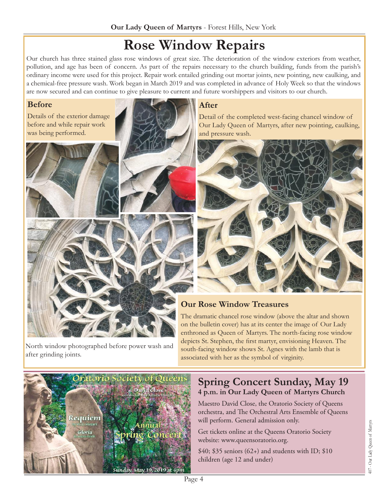# **Rose Window Repairs**

Our church has three stained glass rose windows of great size. The deterioration of the window exteriors from weather, pollution, and age has been of concern. As part of the repairs necessary to the church building, funds from the parish's ordinary income were used for this project. Repair work entailed grinding out mortar joints, new pointing, new caulking, and a chemical-free pressure wash. Work began in March 2019 and was completed in advance of Holy Week so that the windows are now secured and can continue to give pleasure to current and future worshippers and visitors to our church.

#### **Before**

Details of the exterior damage before and while repair work was being performed.





### **After**

Detail of the completed west-facing chancel window of Our Lady Queen of Martyrs, after new pointing, caulking, and pressure wash.



# **Our Rose Window Treasures**

The dramatic chancel rose window (above the altar and shown on the bulletin cover) has at its center the image of Our Lady enthroned as Queen of Martyrs. The north-facing rose window depicts St. Stephen, the first martyr, envisioning Heaven. The south-facing window shows St. Agnes with the lamb that is associated with her as the symbol of virginity.



North window photographed before power wash and

after grinding joints.

## **Spring Concert Sunday, May 19 4 p.m. in Our Lady Queen of Martyrs Church**

Maestro David Close, the Oratorio Society of Queens orchestra, and The Orchestral Arts Ensemble of Queens will perform. General admission only.

Get tickets online at the Queens Oratorio Society website: [www.queensoratorio.org.](www.queensoratorio.org)

 $$40; $35$  seniors (62+) and students with ID;  $$10$ children (age 12 and under)

Page 4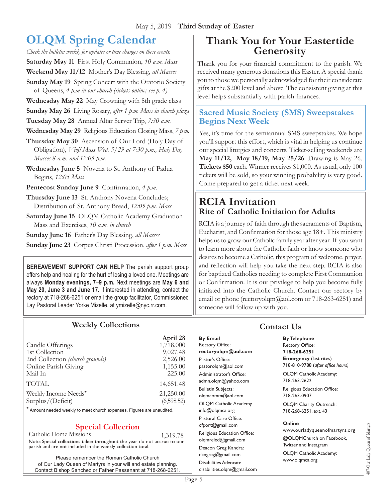# **OLQM Spring Calendar**

*Check the bulletin weekly for updates or time changes on these events.*

**Saturday May 11** First Holy Communion, *10 a.m. Mass* 

**Weekend May 11/12** Mother's Day Blessing, *all Masses*

**Sunday May 19** Spring Concert with the Oratorio Society of Queens, *4 p.m in our church (tickets online; see p. 4)*

**Wednesday May 22** May Crowning with 8th grade class

**Sunday May 26** Living Rosary, *after 1 p.m. Mass in church plaza*

**Tuesday May 28** Annual Altar Server Trip, *7:30 a.m.*

**Wednesday May 29** Religious Education Closing Mass, *7 p.m.*

**Thursday May 30** Ascension of Our Lord (Holy Day of Obligation), *Vigil Mass Wed. 5/29 at 7:30 p.m., Holy Day Masses 8 a.m. and 12:05 p.m.*

**Wednesday June 5** Novena to St. Anthony of Padua Begins, *12:05 Mass*

**Pentecost Sunday June 9** Confirmation, *4 p.m.*

**Thursday June 13** St. Anthony Novena Concludes; Distribution of St. Anthony Bread, *12:05 p.m. Mass*

**Saturday June 15** OLQM Catholic Academy Graduation Mass and Exercises, *10 a.m. in church*

**Sunday June 16** Father's Day Blessing, *all Masses*

**Sunday June 23** Corpus Christi Procession, *after 1 p.m. Mass*

**BEREAVEMENT SUPPORT CAN HELP** The parish support group offers help and healing for the hurt of losing a loved one. Meetings are always **Monday evenings, 7**–**9 p.m.** Next meetings are **May 6 and May 20, June 3 and June 17.** If interested in attending, contact the rectory at 718-268-6251 or email the group facilitator, Commissioned Lay Pastoral Leader Yorke Mizelle, at [ymizelle@nyc.rr.com.](mailto:ymizelle@nyc.rr.com)

### **Weekly Collections**

|                                 | April 28   |
|---------------------------------|------------|
| Candle Offerings                | 1,718.000  |
| 1st Collection                  | 9,027.48   |
| 2nd Collection (church grounds) | 2,526.00   |
| Online Parish Giving            | 1,155.00   |
| Mail In                         | 225.00     |
| <b>TOTAL</b>                    | 14,651.48  |
| Weekly Income Needs*            | 21,250.00  |
| Surplus/(Deficit)               | (6,598.52) |
|                                 |            |

\* Amount needed weekly to meet church expenses. Figures are unaudited.

### **Special Collection**

Catholic Home Missions 1,319.78 Note: Special collections taken throughout the year do not accrue to our parish and are not included in the weekly collection total.

Please remember the Roman Catholic Church of Our Lady Queen of Martyrs in your will and estate planning. Contact Bishop Sanchez or Father Passenant at 718-268-6251.

## **Thank You for Your Eastertide Generosity**

Thank you for your financial commitment to the parish. We received many generous donations this Easter. A special thank you to those we personally acknowledged for their considerate gifts at the \$200 level and above. The consistent giving at this level helps substantially with parish finances.

#### **Sacred Music Society (SMS) Sweepstakes Begins Next Week**

Yes, it's time for the semiannual SMS sweepstakes. We hope you'll support this effort, which is vital in helping us continue our special liturgies and concerts. Ticket-selling weekends are **May 11/12, May 18/19, May 25/26**. Drawing is May 26. **Tickets \$50** each. Winner receives \$1,000. As usual, only 100 tickets will be sold, so your winning probability is very good. Come prepared to get a ticket next week.

## **RCIA Invitation Rite of Catholic Initiation for Adults**

RCIA is a journey of faith through the sacraments of Baptism, Eucharist, and Confirmation for those age 18+. This ministry helps us to grow our Catholic family year after year. If you want to learn more about the Catholic faith or know someone who desires to become a Catholic, this program of welcome, prayer, and reflection will help you take the next step. RCIA is also for baptized Catholics needing to complete First Communion or Confirmation. It is our privilege to help you become fully initiated into the Catholic Church. Contact our rectory by email or phone ([rectoryolqm@aol.com](mailto:rectoryolqm@aol.com) or 718-263-6251) and someone will follow up with you.

## **Contact Us**

**By Email** Rectory Office: **rectoryolqm@aol.com** Pastor's Office: pastorolqm@aol.com Administrator's Office: admn.olqm@yahoo.com Bulletin Subjects: olqmcomm@aol.com OLQM Catholic Academy info@olqmca.org Pastoral Care Office: dfport@gmail.com Religious Education Office: olqmreled@gmail.com Deacon Greg Kandra: dcngreg@gmail.com Disabilities Advocate [disabilities.olqm@gmail.com](mailto:disabilities.olqm@gmail.com)

# **By Telephone**

Rectory Office: **718-268-6251 Emergency** (last rites) 718-810-9788 (*after office hours)*

OLQM Catholic Academy: 718-263-2622

Religious Education Office: 718-263-0907

OLQM Charity Outreach: 718-268-6251, ext. 43

#### **Online**

www.ourladyqueenofmartyrs.org @OLQMChurch on Facebook, Twitter and Instagram OLQM Catholic Academy: www.olqmca.org